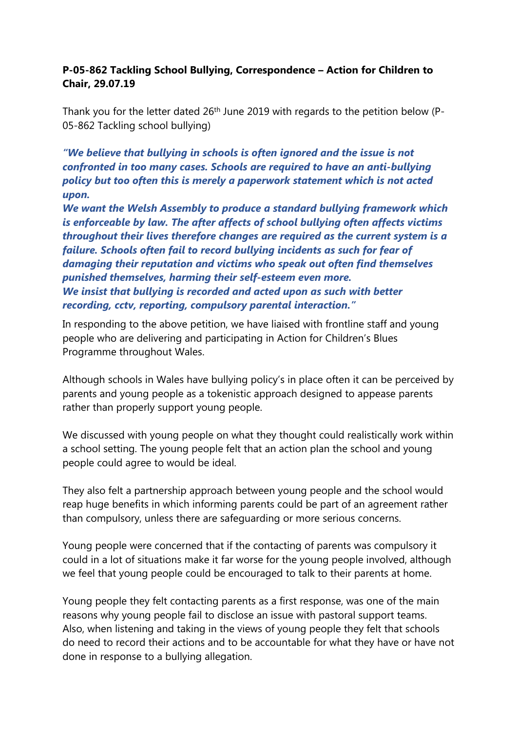## **P-05-862 Tackling School Bullying, Correspondence – Action for Children to Chair, 29.07.19**

Thank you for the letter dated 26<sup>th</sup> June 2019 with regards to the petition below (P-05-862 Tackling school bullying)

*"We believe that bullying in schools is often ignored and the issue is not confronted in too many cases. Schools are required to have an anti-bullying policy but too often this is merely a paperwork statement which is not acted upon.*

*We want the Welsh Assembly to produce a standard bullying framework which is enforceable by law. The after affects of school bullying often affects victims throughout their lives therefore changes are required as the current system is a failure. Schools often fail to record bullying incidents as such for fear of damaging their reputation and victims who speak out often find themselves punished themselves, harming their self-esteem even more. We insist that bullying is recorded and acted upon as such with better recording, cctv, reporting, compulsory parental interaction."*

In responding to the above petition, we have liaised with frontline staff and young people who are delivering and participating in Action for Children's Blues Programme throughout Wales.

Although schools in Wales have bullying policy's in place often it can be perceived by parents and young people as a tokenistic approach designed to appease parents rather than properly support young people.

We discussed with young people on what they thought could realistically work within a school setting. The young people felt that an action plan the school and young people could agree to would be ideal.

They also felt a partnership approach between young people and the school would reap huge benefits in which informing parents could be part of an agreement rather than compulsory, unless there are safeguarding or more serious concerns.

Young people were concerned that if the contacting of parents was compulsory it could in a lot of situations make it far worse for the young people involved, although we feel that young people could be encouraged to talk to their parents at home.

Young people they felt contacting parents as a first response, was one of the main reasons why young people fail to disclose an issue with pastoral support teams. Also, when listening and taking in the views of young people they felt that schools do need to record their actions and to be accountable for what they have or have not done in response to a bullying allegation.